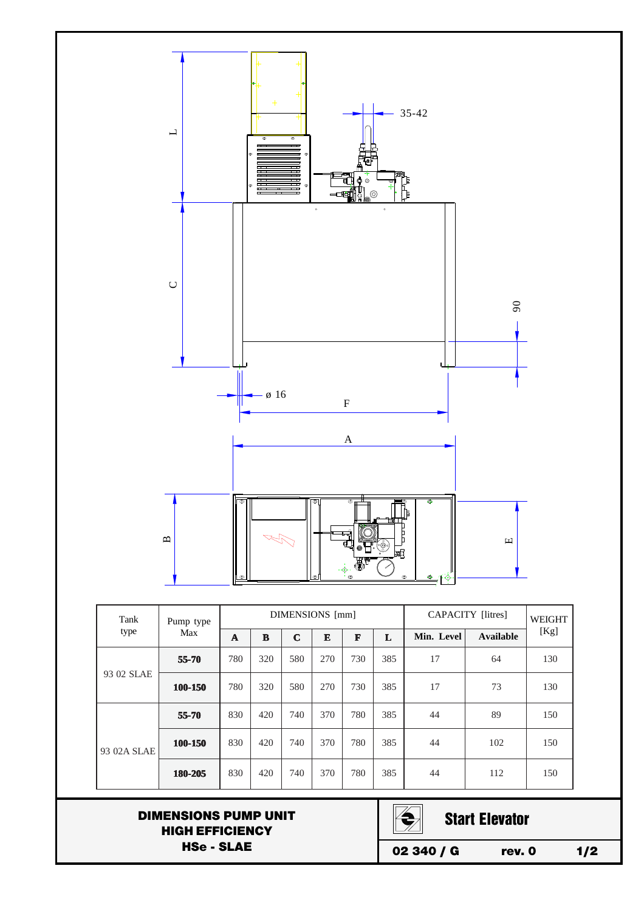

| Tank        | Pump type<br>Max | <b>DIMERVOIOUV HILLE</b> |     |             |     |     |     | $CALACII$   $IIIUSI$ |           | WEIGHT |
|-------------|------------------|--------------------------|-----|-------------|-----|-----|-----|----------------------|-----------|--------|
| type        |                  | A                        | B   | $\mathbf C$ | E   | F   | L   | Min. Level           | Available | [Kg]   |
| 93 02 SLAE  | $55 - 70$        | 780                      | 320 | 580         | 270 | 730 | 385 | 17                   | 64        | 130    |
|             | 100-150          | 780                      | 320 | 580         | 270 | 730 | 385 | 17                   | 73        | 130    |
| 93 02A SLAE | $55 - 70$        | 830                      | 420 | 740         | 370 | 780 | 385 | 44                   | 89        | 150    |
|             | 100-150          | 830                      | 420 | 740         | 370 | 780 | 385 | 44                   | 102       | 150    |
|             | 180-205          | 830                      | 420 | 740         | 370 | 780 | 385 | 44                   | 112       | 150    |

## DIMENSIONS PUMP UNIT HIGH EFFICIENCY HSe - SLAE



Start Elevator

02 340 / G rev. 0 1/2